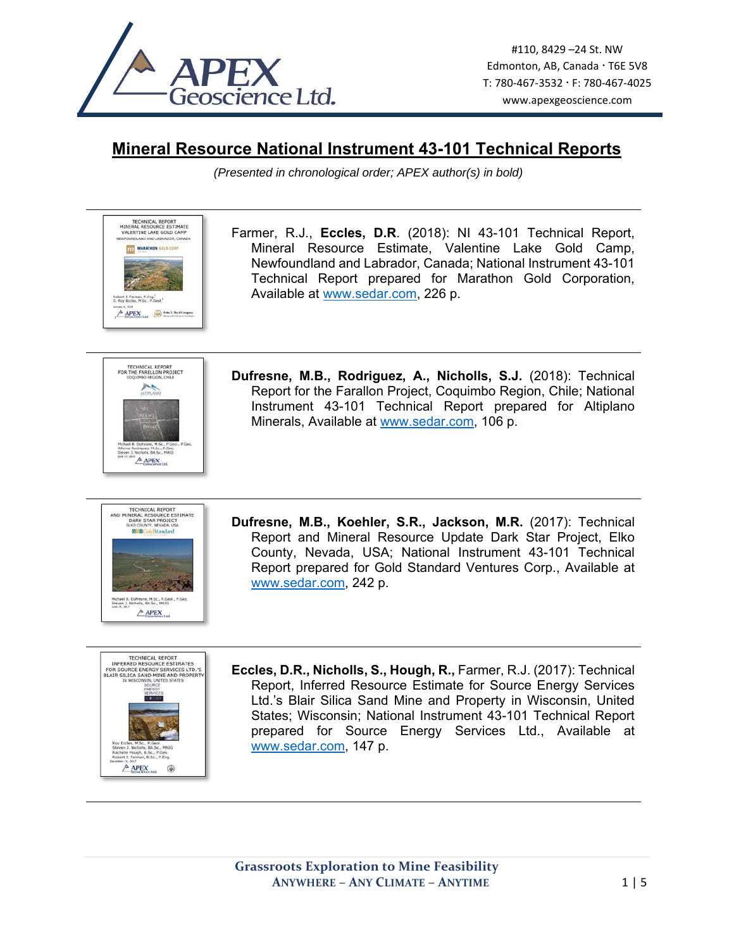

## **Mineral Resource National Instrument 43-101 Technical Reports**

*(Presented in chronological order; APEX author(s) in bold)* 

Farmer, R.J., **Eccles, D.R**. (2018): NI 43-101 Technical Report, Mineral Resource Estimate, Valentine Lake Gold Camp, Newfoundland and Labrador, Canada; National Instrument 43-101 Technical Report prepared for Marathon Gold Corporation, Available at www.sedar.com, 226 p.



TECHNICAL REPORT<br>MINERAL RESOURCE ESTIMATE VALENTINE LAKE GOLD CAMP **LAND AND LABRADOR, CAN TTT MARATHON GULD C** 

Robert 3, Farmer, P.Eng.<sup>1</sup><br>D. Roy Reclas, M.Sc., P.Cast  $A$  APEX  $\bigotimes$  Abellagat

> **Dufresne, M.B., Rodriguez, A., Nicholls, S.J.** (2018): Technical Report for the Farallon Project, Coquimbo Region, Chile; National Instrument 43-101 Technical Report prepared for Altiplano Minerals, Available at www.sedar.com, 106 p.



**Dufresne, M.B., Koehler, S.R., Jackson, M.R.** (2017): Technical Report and Mineral Resource Update Dark Star Project, Elko County, Nevada, USA; National Instrument 43-101 Technical Report prepared for Gold Standard Ventures Corp., Available at www.sedar.com, 242 p.



**Eccles, D.R., Nicholls, S., Hough, R.,** Farmer, R.J. (2017): Technical Report, Inferred Resource Estimate for Source Energy Services Ltd.'s Blair Silica Sand Mine and Property in Wisconsin, United States; Wisconsin; National Instrument 43-101 Technical Report prepared for Source Energy Services Ltd., Available at www.sedar.com, 147 p.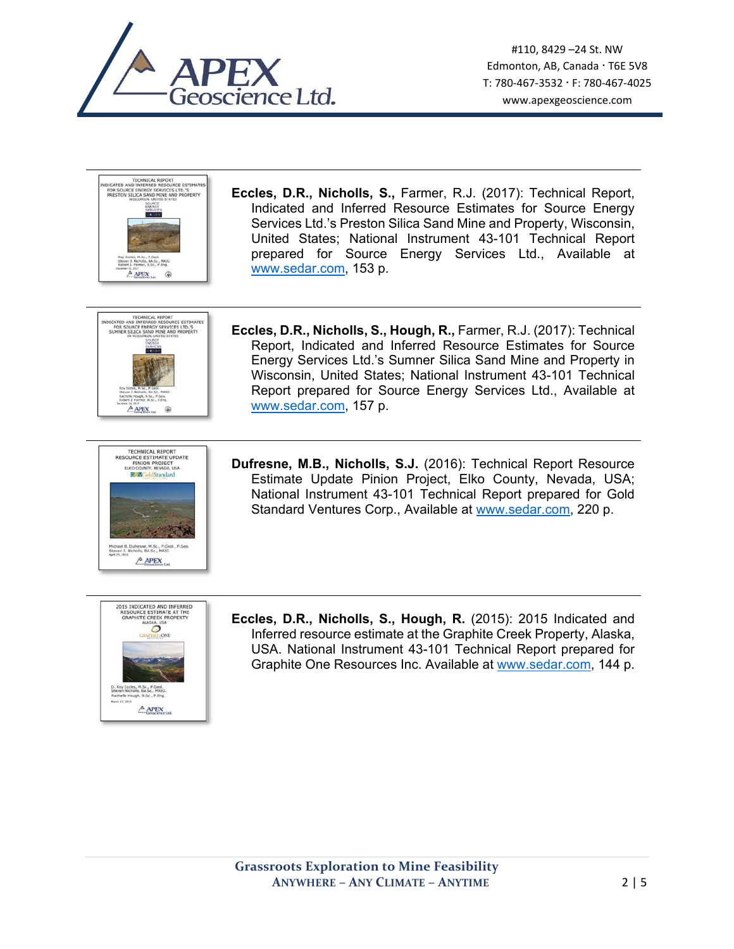



**Eccles, D.R., Nicholls, S.,** Farmer, R.J. (2017): Technical Report, Indicated and Inferred Resource Estimates for Source Energy Services Ltd.'s Preston Silica Sand Mine and Property, Wisconsin, United States; National Instrument 43-101 Technical Report prepared for Source Energy Services Ltd., Available at www.sedar.com, 153 p.



- TECHNICAL REPORT SOURCE ESTIMATE UPDATE<br>PINION PROJECT<br>ELKO COUNTY, NEVADA, USA RESOU  $\frac{1}{2}$ Michael B. Dufresne, M.Sc., P.Geol., P.Ge<br>Steven J. Nicholls, BA.Sc., MAIG  $A$  APEX
- **Eccles, D.R., Nicholls, S., Hough, R.,** Farmer, R.J. (2017): Technical Report, Indicated and Inferred Resource Estimates for Source Energy Services Ltd.'s Sumner Silica Sand Mine and Property in Wisconsin, United States; National Instrument 43-101 Technical Report prepared for Source Energy Services Ltd., Available at www.sedar.com, 157 p.
- **Dufresne, M.B., Nicholls, S.J.** (2016): Technical Report Resource Estimate Update Pinion Project, Elko County, Nevada, USA; National Instrument 43-101 Technical Report prepared for Gold Standard Ventures Corp., Available at www.sedar.com, 220 p.



**Eccles, D.R., Nicholls, S., Hough, R.** (2015): 2015 Indicated and Inferred resource estimate at the Graphite Creek Property, Alaska, USA. National Instrument 43-101 Technical Report prepared for Graphite One Resources Inc. Available at www.sedar.com, 144 p.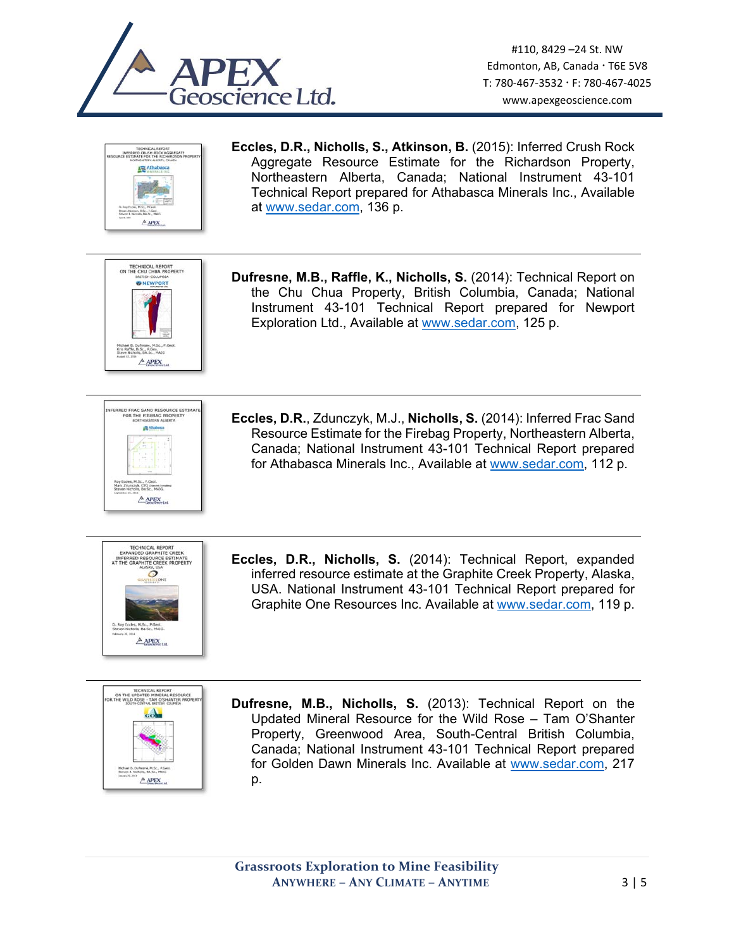



**Eccles, D.R., Nicholls, S., Atkinson, B.** (2015): Inferred Crush Rock Aggregate Resource Estimate for the Richardson Property, Northeastern Alberta, Canada; National Instrument 43-101 Technical Report prepared for Athabasca Minerals Inc., Available at www.sedar.com, 136 p.



**Dufresne, M.B., Raffle, K., Nicholls, S.** (2014): Technical Report on the Chu Chua Property, British Columbia, Canada; National Instrument 43-101 Technical Report prepared for Newport Exploration Ltd., Available at www.sedar.com, 125 p.



**Eccles, D.R.**, Zdunczyk, M.J., **Nicholls, S.** (2014): Inferred Frac Sand Resource Estimate for the Firebag Property, Northeastern Alberta, Canada; National Instrument 43-101 Technical Report prepared for Athabasca Minerals Inc., Available at www.sedar.com, 112 p.



**Eccles, D.R., Nicholls, S.** (2014): Technical Report, expanded inferred resource estimate at the Graphite Creek Property, Alaska, USA. National Instrument 43-101 Technical Report prepared for Graphite One Resources Inc. Available at www.sedar.com, 119 p.



**Dufresne, M.B., Nicholls, S.** (2013): Technical Report on the Updated Mineral Resource for the Wild Rose – Tam O'Shanter Property, Greenwood Area, South-Central British Columbia, Canada; National Instrument 43-101 Technical Report prepared for Golden Dawn Minerals Inc. Available at www.sedar.com, 217 p.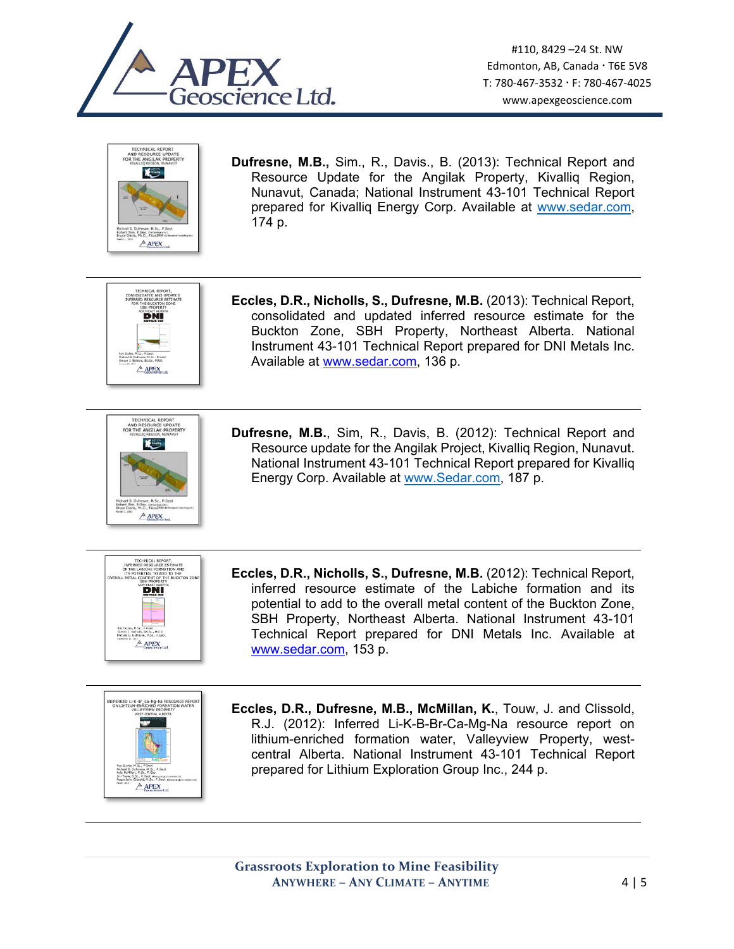



**Dufresne, M.B.,** Sim., R., Davis., B. (2013): Technical Report and Resource Update for the Angilak Property, Kivalliq Region, Nunavut, Canada; National Instrument 43-101 Technical Report prepared for Kivalliq Energy Corp. Available at www.sedar.com, 174 p.



**Eccles, D.R., Nicholls, S., Dufresne, M.B.** (2013): Technical Report, consolidated and updated inferred resource estimate for the Buckton Zone, SBH Property, Northeast Alberta. National Instrument 43-101 Technical Report prepared for DNI Metals Inc. Available at www.sedar.com, 136 p.



**Dufresne, M.B.**, Sim, R., Davis, B. (2012): Technical Report and Resource update for the Angilak Project, Kivalliq Region, Nunavut. National Instrument 43-101 Technical Report prepared for Kivalliq Energy Corp. Available at www.Sedar.com, 187 p.



**Eccles, D.R., Nicholls, S., Dufresne, M.B.** (2012): Technical Report, inferred resource estimate of the Labiche formation and its potential to add to the overall metal content of the Buckton Zone, SBH Property, Northeast Alberta. National Instrument 43-101 Technical Report prepared for DNI Metals Inc. Available at www.sedar.com, 153 p.



**Eccles, D.R., Dufresne, M.B., McMillan, K.**, Touw, J. and Clissold, R.J. (2012): Inferred Li-K-B-Br-Ca-Mg-Na resource report on lithium-enriched formation water, Valleyview Property, westcentral Alberta. National Instrument 43-101 Technical Report prepared for Lithium Exploration Group Inc., 244 p.